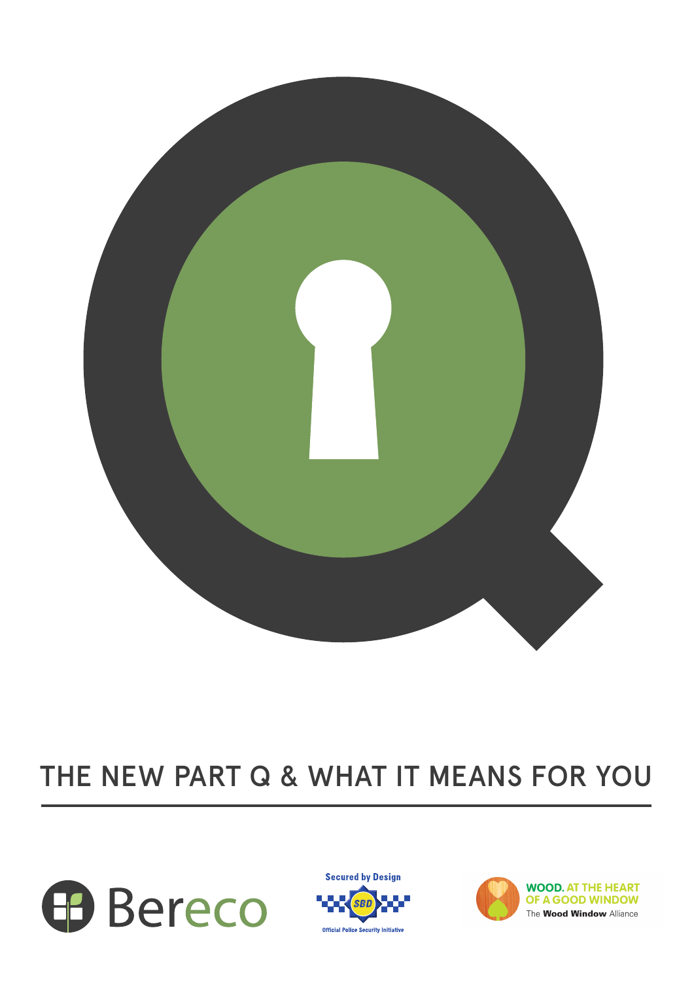

# THE NEW PART Q & WHAT IT MEANS FOR YOU





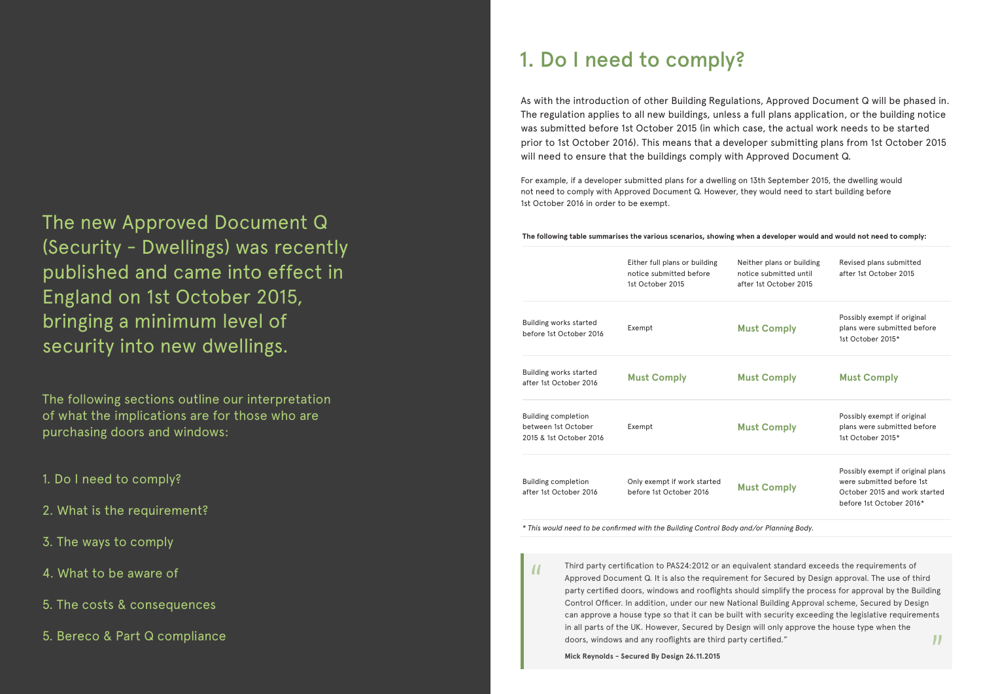**The following table summarises the various scenarios, showing when a developer would and would not need to comply:**

| Either full plans or building<br>notice submitted before<br>1st October 2015 | Neither plans or building<br>notice submitted until<br>after 1st October 2015 | Revised plans submitted<br>after 1st October 2015                                                                           |
|------------------------------------------------------------------------------|-------------------------------------------------------------------------------|-----------------------------------------------------------------------------------------------------------------------------|
| Exempt                                                                       | <b>Must Comply</b>                                                            | Possibly exempt if original<br>plans were submitted before<br>1st October 2015*                                             |
| <b>Must Comply</b>                                                           | <b>Must Comply</b>                                                            | <b>Must Comply</b>                                                                                                          |
| Exempt                                                                       | <b>Must Comply</b>                                                            | Possibly exempt if original<br>plans were submitted before<br>1st October 2015*                                             |
| Only exempt if work started<br>before 1st October 2016                       | <b>Must Comply</b>                                                            | Possibly exempt if original plans<br>were submitted before 1st<br>October 2015 and work started<br>before 1st October 2016* |
|                                                                              |                                                                               |                                                                                                                             |

Approved Document Q. It is also the requirement for Secured by Design approval. The use of third party certified doors, windows and rooflights should simplify the process for approval by the Building Control Officer. In addition, under our new National Building Approval scheme, Secured by Design can approve a house type so that it can be built with security exceeding the legislative requirements 99

*\* This would need to be confirmed with the Building Control Body and/or Planning Body.*

# 1. Do I need to comply?

As with the introduction of other Building Regulations, Approved Document Q will be phased in. The regulation applies to all new buildings, unless a full plans application, or the building notice was submitted before 1st October 2015 (in which case, the actual work needs to be started prior to 1st October 2016). This means that a developer submitting plans from 1st October 2015 will need to ensure that the buildings comply with Approved Document Q.

For example, if a developer submitted plans for a dwelling on 13th September 2015, the dwelling would not need to comply with Approved Document Q. However, they would need to start building before 1st October 2016 in order to be exempt.

Third party certification to PAS24:2012 or an equivalent standard exceeds the requirements of in all parts of the UK. However, Secured by Design will only approve the house type when the doors, windows and any rooflights are third party certified." "

**Mick Reynolds - Secured By Design 26.11.2015**



# The new Approved Document Q (Security - Dwellings) was recently published and came into effect in England on 1st October 2015, bringing a minimum level of security into new dwellings.

The following sections outline our interpretation of what the implications are for those who are purchasing doors and windows:

- 1. Do I need to comply?
- 2. What is the requirement?
- 3. The ways to comply
- 4. What to be aware of
- 5. The costs & consequences
- 5. Bereco & Part Q compliance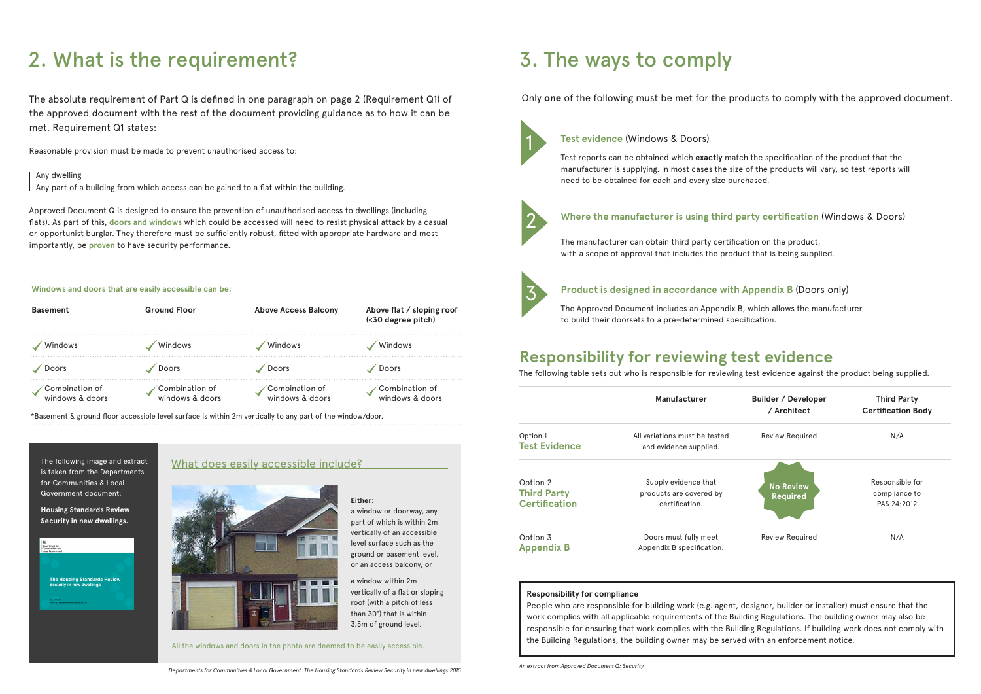## **Responsibility for reviewing test evidence**

The following table sets out who is responsible for reviewing test evidence against the product being supplied.



|                      | Manufacturer                  |  |
|----------------------|-------------------------------|--|
| Option 1             | All variations must be tested |  |
| <b>Test Evidence</b> | and evidence supplied.        |  |
| Option 2             | Supply evidence that          |  |
| <b>Third Party</b>   | products are covered by       |  |
| Certification        | certification.                |  |
| Option 3             | Doors must fully meet         |  |
| <b>Appendix B</b>    | Appendix B specification.     |  |

## 1 **Test evidence** (Windows & Doors)

Test reports can be obtained which **exactly** match the specification of the product that the manufacturer is supplying. In most cases the size of the products will vary, so test reports will need to be obtained for each and every size purchased.



## 2 **Where the manufacturer is using third party certification** (Windows & Doors)

The manufacturer can obtain third party certification on the product, with a scope of approval that includes the product that is being supplied.



## 3 **Product is designed in accordance with Appendix B** (Doors only)

The Approved Document includes an Appendix B, which allows the manufacturer to build their doorsets to a pre-determined specification.

# 2. What is the requirement? 3. The ways to comply

The absolute requirement of Part Q is defined in one paragraph on page 2 (Requirement Q1) of the approved document with the rest of the document providing guidance as to how it can be met. Requirement Q1 states:

Reasonable provision must be made to prevent unauthorised access to:

Any dwelling

Any part of a building from which access can be gained to a flat within the building.

Approved Document Q is designed to ensure the prevention of unauthorised access to dwellings (including flats). As part of this, **doors and windows** which could be accessed will need to resist physical attack by a casual or opportunist burglar. They therefore must be sufficiently robust, fitted with appropriate hardware and most importantly, be **proven** to have security performance.

### **Windows and doors that are easily accessible can be:**

| <b>Basement</b>                   | <b>Ground Floor</b>               | <b>Above Access Balcony</b>       | Above flat / sloping roof<br>(<30 degree pitch) |
|-----------------------------------|-----------------------------------|-----------------------------------|-------------------------------------------------|
| Windows                           | Windows                           | Windows                           | Windows                                         |
| Doors                             | Doors                             | Doors                             | Doors                                           |
| Combination of<br>windows & doors | Combination of<br>windows & doors | Combination of<br>windows & doors | Combination of<br>windows & doors               |

\*Basement & ground floor accessible level surface is within 2m vertically to any part of the window/door.

**Either:** 

a window or doorway, any part of which is within 2m vertically of an accessible level surface such as the ground or basement level, or an access balcony, or

a window within 2m

vertically of a flat or sloping

roof (with a pitch of less than 30°) that is within 3.5m of ground level.

The following image and extract is taken from the Departments for Communities & Local Government document:

**Housing Standards Review Security in new dwellings.**



## What does easily accessible include?



### **Responsibility for compliance**

People who are responsible for building work (e.g. agent, designer, builder or installer) must ensure that the work complies with all applicable requirements of the Building Regulations. The building owner may also be responsible for ensuring that work complies with the Building Regulations. If building work does not comply with the Building Regulations, the building owner may be served with an enforcement notice.

All the windows and doors in the photo are deemed to be easily accessible.

Only **one** of the following must be met for the products to comply with the approved document.

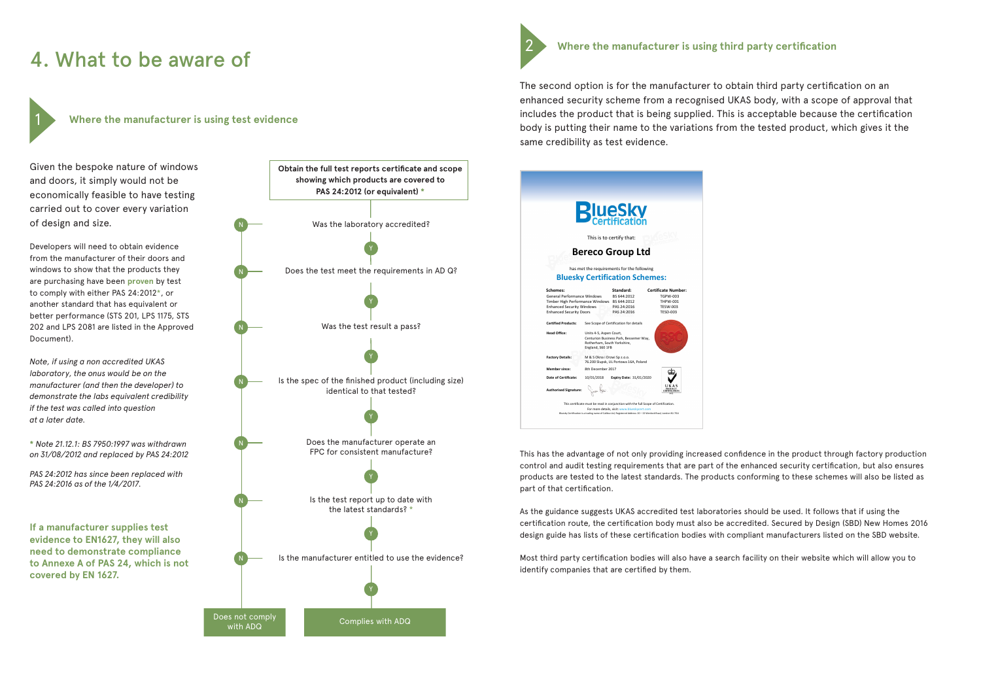Given the bespoke nature of windows and doors, it simply would not be economically feasible to have testing carried out to cover every variation of design and size.

Developers will need to obtain evidence from the manufacturer of their doors and windows to show that the products they are purchasing have been **proven** by test to comply with either PAS 24:2012\*, or another standard that has equivalent or better performance (STS 201, LPS 1175, STS 202 and LPS 2081 are listed in the Approved Document).

*Note, if using a non accredited UKAS laboratory, the onus would be on the manufacturer (and then the developer) to demonstrate the labs equivalent credibility if the test was called into question at a later date.* 

**Where the manufacturer is using test evidence**



**\*** *Note 21.12.1: BS 7950:1997 was withdrawn on 31/08/2012 and replaced by PAS 24:2012*

*PAS 24:2012 has since been replaced with PAS 24:2016 as of the 1/4/2017.* 

1



 **Where the manufacturer is using third party certification**

The second option is for the manufacturer to obtain third party certification on an enhanced security scheme from a recognised UKAS body, with a scope of approval that includes the product that is being supplied. This is acceptable because the certification body is putting their name to the variations from the tested product, which gives it the same credibility as test evidence.

This has the advantage of not only providing increased confidence in the product through factory production control and audit testing requirements that are part of the enhanced security certification, but also ensures products are tested to the latest standards. The products conforming to these schemes will also be listed as part of that certification.

As the guidance suggests UKAS accredited test laboratories should be used. It follows that if using the certification route, the certification body must also be accredited. Secured by Design (SBD) New Homes 2016 design guide has lists of these certification bodies with compliant manufacturers listed on the SBD website.

Most third party certification bodies will also have a search facility on their website which will allow you to identify companies that are certified by them.

2

**If a manufacturer supplies test evidence to EN1627, they will also need to demonstrate compliance to Annexe A of PAS 24, which is not covered by EN 1627.**

# 4. What to be aware of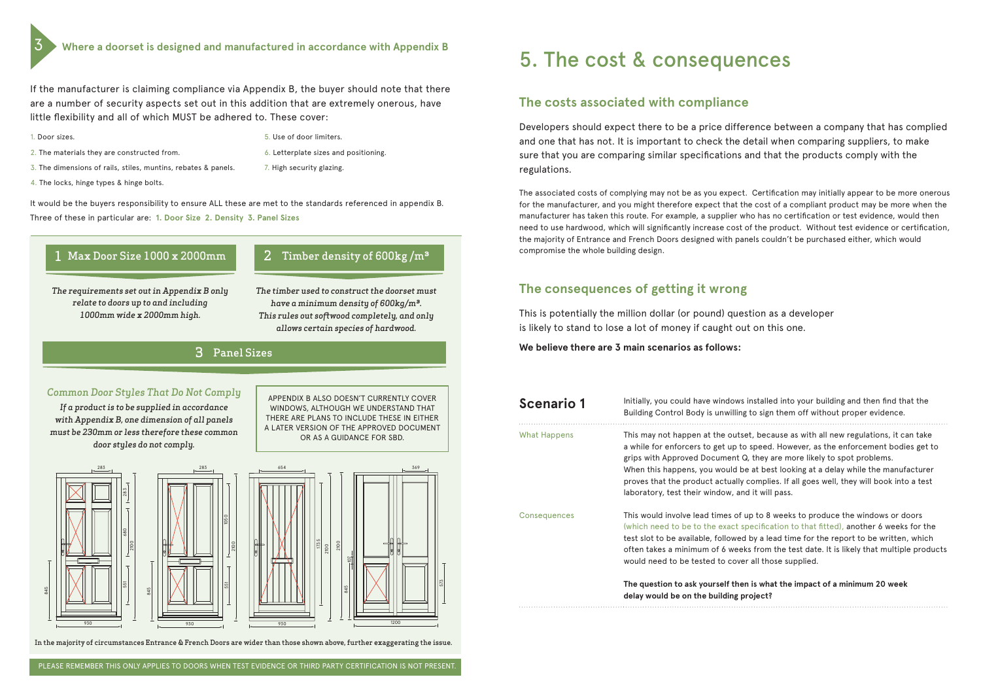## **The costs associated with compliance**

Developers should expect there to be a price difference between a company that has complied and one that has not. It is important to check the detail when comparing suppliers, to make sure that you are comparing similar specifications and that the products comply with the regulations.

The associated costs of complying may not be as you expect. Certification may initially appear to be more onerous for the manufacturer, and you might therefore expect that the cost of a compliant product may be more when the manufacturer has taken this route. For example, a supplier who has no certification or test evidence, would then need to use hardwood, which will significantly increase cost of the product. Without test evidence or certification, the majority of Entrance and French Doors designed with panels couldn't be purchased either, which would compromise the whole building design.

## **The consequences of getting it wrong**

This is potentially the million dollar (or pound) question as a developer is likely to stand to lose a lot of money if caught out on this one.

> **The question to ask yourself then is what the impact of a minimum 20 week**  project?

**We believe there are 3 main scenarios as follows:** 

| <b>Scenario 1</b>   | Initially, you could have window:<br>Building Control Body is unwillin                                                                                                                                          |
|---------------------|-----------------------------------------------------------------------------------------------------------------------------------------------------------------------------------------------------------------|
| What Happens        | This may not happen at the outs<br>a while for enforcers to get up t<br>grips with Approved Document<br>When this happens, you would b<br>proves that the product actually<br>laboratory, test their window, ar |
| <b>Consequences</b> | This would involve lead times of<br>(which need to be to the exact :<br>test slot to be available, followe<br>often takes a minimum of 6 wee<br>would need to be tested to cove                                 |
|                     | The question to ask yourself the<br>delay would be on the building                                                                                                                                              |
|                     |                                                                                                                                                                                                                 |

**s** installed into your building and then find that the Ig to sign them off without proper evidence. set, because as with all new regulations, it can take to speed. However, as the enforcement bodies get to Q, they are more likely to spot problems. be at best looking at a delay while the manufacturer y complies. If all goes well, they will book into a test nd it will pass.

 $\sigma$  up to 8 weeks to produce the windows or doors specification to that fitted), another 6 weeks for the d by a lead time for the report to be written, which eks from the test date. It is likely that multiple products er all those supplied.

- 2. The materials they are constructed from. 6. Letterplate sizes and positioning.
- 3. The dimensions of rails, stiles, muntins, rebates & panels. 7. High security glazing.
- 4. The locks, hinge types & hinge bolts.

# 5. The cost & consequences



2100





If the manufacturer is claiming compliance via Appendix B, the buyer should note that there are a number of security aspects set out in this addition that are extremely onerous, have little flexibility and all of which MUST be adhered to. These cover:

1. Door sizes.

*The requirements set out in Appendix B only relate to doors up to and including 1000mm wide x 2000mm high.* 

*The timber used to construct the doorset must have a minimum density of 600kg/m³. This rules out softwood completely, and only allows certain species of hardwood.* 

## *Common Door Styles That Do Not Comply*

*If a product is to be supplied in accordance with Appendix B, one dimension of all panels must be 230mm or less therefore these common door styles do not comply.* 

APPENDIX B ALSO DOESN'T CURRENTLY COVER WINDOWS, ALTHOUGH WE UNDERSTAND THAT THERE ARE PLANS TO INCLUDE THESE IN EITHER A LATER VERSION OF THE APPROVED DOCUMENT OR AS A GUIDANCE FOR SBD.



# 2 Timber density of  $600kg/m<sup>3</sup>$

5. Use of door limiters.

## Panel Sizes 3

In the majority of circumstances Entrance & French Doors are wider than those shown above, further exaggerating the issue.

It would be the buyers responsibility to ensure ALL these are met to the standards referenced in appendix B. Three of these in particular are: **1. Door Size 2. Density 3. Panel Sizes**

3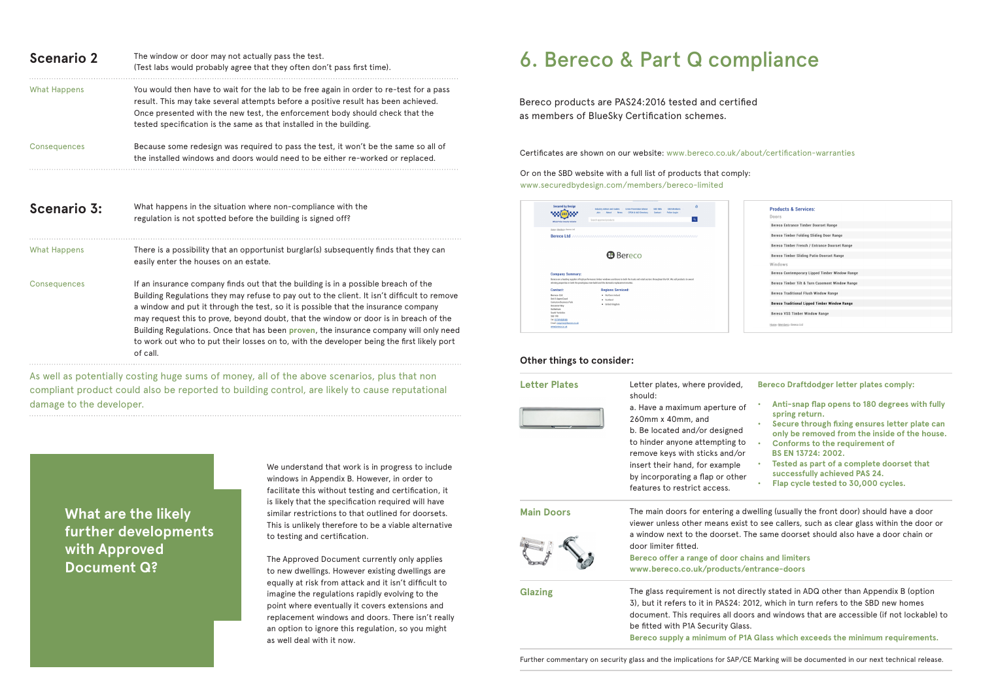Bereco products are PAS24:2016 tested and certified as members of BlueSky Certification schemes.

Or on the SBD website with a full list of products that comply: www.securedbydesign.com/members/bereco-limited

| <b>Secured by Design</b><br><b>Official Police Security Initiative</b> | $\theta$<br><b>Industry Advice and Guides</b><br><b>Crime Prevention Advice</b><br>SRD Members<br>SBD NBA<br>About<br><b>Join</b><br>CPDA & ALO Directory<br>Police Login<br><b>News</b><br>Contact<br>ne.<br>$\alpha$<br>Search approved products        |
|------------------------------------------------------------------------|-----------------------------------------------------------------------------------------------------------------------------------------------------------------------------------------------------------------------------------------------------------|
| Home» Members» Bereco Ltd                                              | Bereco Ltd accommodation construction accommodation construction accom-                                                                                                                                                                                   |
|                                                                        |                                                                                                                                                                                                                                                           |
|                                                                        | <b>B</b> Bereco                                                                                                                                                                                                                                           |
| <b>Company Summary:</b>                                                |                                                                                                                                                                                                                                                           |
|                                                                        | Bereco are a leading supplier of high performance timber windows and doors to both the trade and retail sectors throughout the UK. We sell products to award<br>winning properties in both the prestigious new build and the domestic replacement market. |
| Contact:                                                               | <b>Regions Serviced:</b>                                                                                                                                                                                                                                  |
| <b>Rereco Ltd</b>                                                      | Northern Ireland                                                                                                                                                                                                                                          |
| Unit 5 Aspen Court<br>Centurion Business Park                          | Scotland<br>٠                                                                                                                                                                                                                                             |
| <b>Bessemer Way</b>                                                    | · United Kingdom                                                                                                                                                                                                                                          |
| Rotherham                                                              |                                                                                                                                                                                                                                                           |
| South Yorkshire                                                        |                                                                                                                                                                                                                                                           |
| <b>S60 1FB</b><br>Tel: 01709 838188                                    |                                                                                                                                                                                                                                                           |
| Email: enquiries@bereco.co.uk                                          |                                                                                                                                                                                                                                                           |

## **Other things to consider:**

| <b>Letter Plates</b> | Letter plates, where provided,<br>should:<br>a. Have a maximum aperture of<br>260mm x 40mm, and<br>b. Be located and/or designed<br>to hinder anyone attempting to<br>remove keys with sticks and/or<br>insert their hand, for example<br>by incorporating a flap or other<br>features to restrict access. | <b>Bereco Draftdodger letter plates comply:</b><br>Anti-snap flap opens to 180 degrees with fully<br>spring return.<br>Secure through fixing ensures letter plate can<br>only be removed from the inside of the house.<br><b>Conforms to the requirement of</b><br>BS EN 13724: 2002.<br>Tested as part of a complete doorset that<br>successfully achieved PAS 24.<br>Flap cycle tested to 30,000 cycles. |
|----------------------|------------------------------------------------------------------------------------------------------------------------------------------------------------------------------------------------------------------------------------------------------------------------------------------------------------|------------------------------------------------------------------------------------------------------------------------------------------------------------------------------------------------------------------------------------------------------------------------------------------------------------------------------------------------------------------------------------------------------------|
| <b>Main Doors</b>    | door limiter fitted.<br>Bereco offer a range of door chains and limiters<br>www.bereco.co.uk/products/entrance-doors                                                                                                                                                                                       | The main doors for entering a dwelling (usually the front door) should have a door<br>viewer unless other means exist to see callers, such as clear glass within the door or<br>a window next to the doorset. The same doorset should also have a door chain or                                                                                                                                            |
| <b>Glazing</b>       | be fitted with P1A Security Glass.                                                                                                                                                                                                                                                                         | The glass requirement is not directly stated in ADQ other than Appendix B (option<br>3), but it refers to it in PAS24: 2012, which in turn refers to the SBD new homes<br>document. This requires all doors and windows that are accessible (if not lockable) to<br>Bereco supply a minimum of P1A Glass which exceeds the minimum requirements.                                                           |

Further commentary on security glass and the implications for SAP/CE Marking will be documented in our next technical release.

| <b>Products &amp; Services:</b>                      |  |
|------------------------------------------------------|--|
| Doors                                                |  |
| <b>Bereco Entrance Timber Doorset Range</b>          |  |
| <b>Bereco Timber Folding Sliding Door Range</b>      |  |
| Bereco Timber French / Entrance Doorset Range        |  |
| Bereco Timber Sliding Patio Doorset Range            |  |
| Windows                                              |  |
| Bereco Contemporary Lipped Timber Window Range       |  |
| Bereco Timber Tilt & Turn Casement Window Range      |  |
| <b>Bereco Traditional Flush Window Range</b>         |  |
| <b>Bereco Traditional Lipped Timber Window Range</b> |  |
| <b>Bereco VSS Timber Window Range</b>                |  |
| Home> Members> Bereco Ltd                            |  |
|                                                      |  |

Certificates are shown on our website: www.bereco.co.uk/about/certification-warranties

We understand that work is in progress to include windows in Appendix B. However, in order to facilitate this without testing and certification, it is likely that the specification required will have similar restrictions to that outlined for doorsets. This is unlikely therefore to be a viable alternative to testing and certification.

| <b>Scenario 2</b>   | The window or door may not actually pass the test.<br>(Test labs would probably agree that they often don't pass first time).                                                                                                                                                                                                                                                                                                                                                                                                                                     |
|---------------------|-------------------------------------------------------------------------------------------------------------------------------------------------------------------------------------------------------------------------------------------------------------------------------------------------------------------------------------------------------------------------------------------------------------------------------------------------------------------------------------------------------------------------------------------------------------------|
| <b>What Happens</b> | You would then have to wait for the lab to be free again in order to re-test for a pass<br>result. This may take several attempts before a positive result has been achieved.<br>Once presented with the new test, the enforcement body should check that the<br>tested specification is the same as that installed in the building.                                                                                                                                                                                                                              |
| Consequences        | Because some redesign was required to pass the test, it won't be the same so all of<br>the installed windows and doors would need to be either re-worked or replaced.                                                                                                                                                                                                                                                                                                                                                                                             |
| <b>Scenario 3:</b>  | What happens in the situation where non-compliance with the<br>regulation is not spotted before the building is signed off?                                                                                                                                                                                                                                                                                                                                                                                                                                       |
| <b>What Happens</b> | There is a possibility that an opportunist burglar(s) subsequently finds that they can<br>easily enter the houses on an estate.                                                                                                                                                                                                                                                                                                                                                                                                                                   |
| Consequences        | If an insurance company finds out that the building is in a possible breach of the<br>Building Regulations they may refuse to pay out to the client. It isn't difficult to remove<br>a window and put it through the test, so it is possible that the insurance company<br>may request this to prove, beyond doubt, that the window or door is in breach of the<br>Building Regulations. Once that has been proven, the insurance company will only need<br>to work out who to put their losses on to, with the developer being the first likely port<br>of call. |
|                     | As well as potentially costing huge sums of money, all of the above scenarios, plus that non                                                                                                                                                                                                                                                                                                                                                                                                                                                                      |

The Approved Document currently only applies to new dwellings. However existing dwellings are equally at risk from attack and it isn't difficult to imagine the regulations rapidly evolving to the point where eventually it covers extensions and replacement windows and doors. There isn't really an option to ignore this regulation, so you might as well deal with it now.

**What are the likely further developments with Approved Document Q?**

# 6. Bereco & Part Q compliance

compliant product could also be reported to building control, are likely to cause reputational damage to the developer.